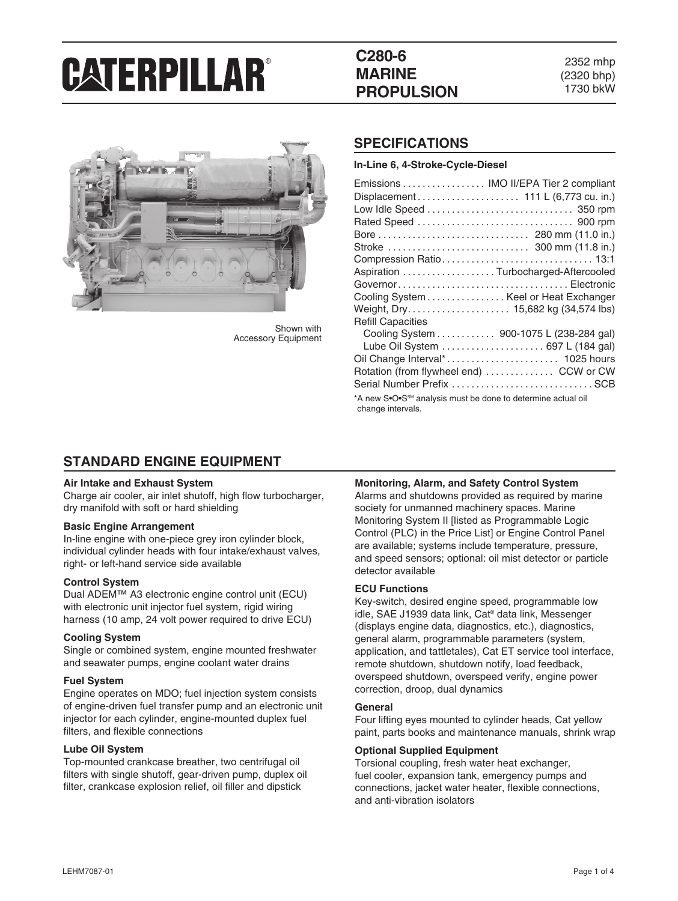## **C280-6 MARINE PROPULSION**

2352 mhp (2320 bhp) 1730 bkW



Shown with Accessory Equipment

### **SPECIFICATIONS**

| Emissions  IMO II/EPA Tier 2 compliant<br>Aspiration Turbocharged-Aftercooled<br>Cooling System Keel or Heat Exchanger<br>Weight, Dry 15,682 kg (34,574 lbs)<br><b>Refill Capacities</b><br>Cooling System 900-1075 L (238-284 gal)<br>Lube Oil System  697 L (184 gal) |
|-------------------------------------------------------------------------------------------------------------------------------------------------------------------------------------------------------------------------------------------------------------------------|
| Rotation (from flywheel end)  CCW or CW<br>Serial Number Prefix SCB<br>*A new S•O•S <sup>sM</sup> analysis must be done to determine actual oil                                                                                                                         |

### **STANDARD ENGINE EQUIPMENT**

#### **Air Intake and Exhaust System**

Charge air cooler, air inlet shutoff, high flow turbocharger, dry manifold with soft or hard shielding

#### **Basic Engine Arrangement**

In-line engine with one-piece grey iron cylinder block, individual cylinder heads with four intake/exhaust valves, right- or left-hand service side available

#### **Control System**

Dual ADEM™ A3 electronic engine control unit (ECU) with electronic unit injector fuel system, rigid wiring harness (10 amp, 24 volt power required to drive ECU)

#### **Cooling System**

Single or combined system, engine mounted freshwater and seawater pumps, engine coolant water drains

#### **Fuel System**

Engine operates on MDO; fuel injection system consists of engine-driven fuel transfer pump and an electronic unit injector for each cylinder, engine-mounted duplex fuel filters, and flexible connections

#### **Lube Oil System**

Top-mounted crankcase breather, two centrifugal oil filters with single shutoff, gear-driven pump, duplex oil filter, crankcase explosion relief, oil filler and dipstick

#### **Monitoring, Alarm, and Safety Control System**

Alarms and shutdowns provided as required by marine society for unmanned machinery spaces. Marine Monitoring System II [listed as Programmable Logic Control (PLC) in the Price List] or Engine Control Panel are available; systems include temperature, pressure, and speed sensors; optional: oil mist detector or particle detector available

#### **ECU Functions**

Key-switch, desired engine speed, programmable low idle, SAE J1939 data link, Cat® data link, Messenger (displays engine data, diagnostics, etc.), diagnostics, general alarm, programmable parameters (system, application, and tattletales), Cat ET service tool interface, remote shutdown, shutdown notify, load feedback, overspeed shutdown, overspeed verify, engine power correction, droop, dual dynamics

#### **General**

Four lifting eyes mounted to cylinder heads, Cat yellow paint, parts books and maintenance manuals, shrink wrap

#### **Optional Supplied Equipment**

Torsional coupling, fresh water heat exchanger, fuel cooler, expansion tank, emergency pumps and connections, jacket water heater, flexible connections, and anti-vibration isolators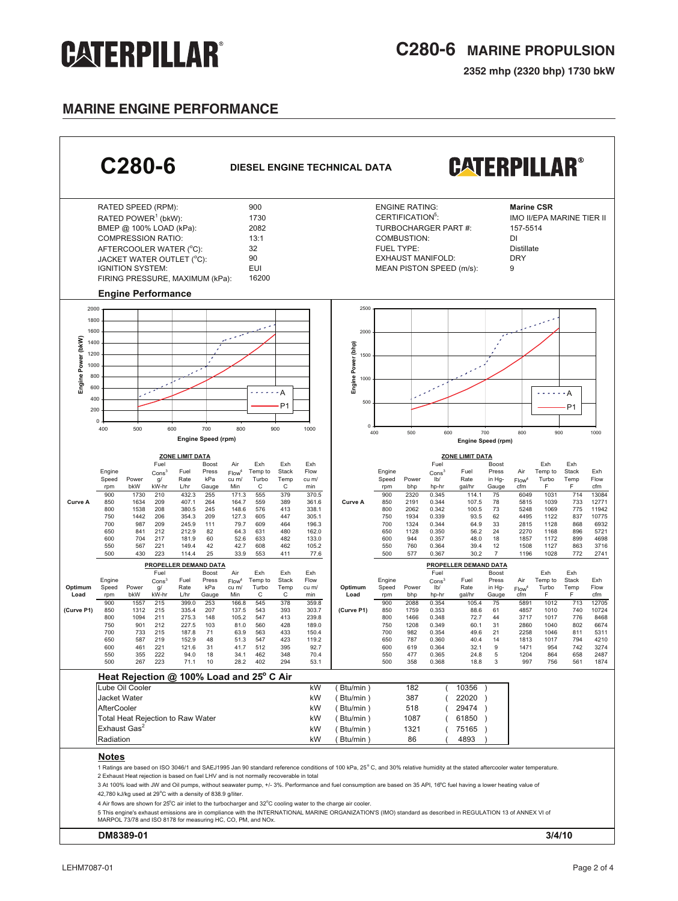## **C280-6 MARINE PROPULSION**

**2352 mhp (2320 bhp) 1730 bkW**

## **MARINE ENGINE performance**



#### **DM8389-01 3/4/10**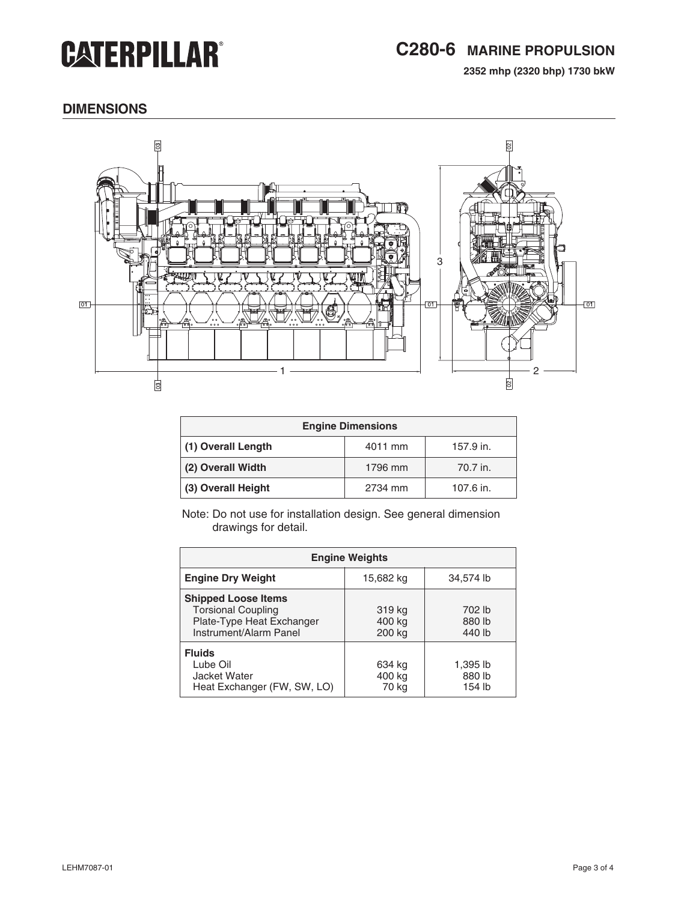## **C280-6 MARINE PROPULSION**

**2352 mhp (2320 bhp) 1730 bkW**

### **dimensions**



| <b>Engine Dimensions</b> |         |           |  |
|--------------------------|---------|-----------|--|
| (1) Overall Length       | 4011 mm | 157.9 in. |  |
| (2) Overall Width        | 1796 mm | 70.7 in.  |  |
| (3) Overall Height       | 2734 mm | 107.6 in. |  |

Note: Do not use for installation design. See general dimension drawings for detail.

| <b>Engine Weights</b>                                                                                          |                            |                              |  |
|----------------------------------------------------------------------------------------------------------------|----------------------------|------------------------------|--|
| <b>Engine Dry Weight</b>                                                                                       | 15,682 kg                  | 34,574 lb                    |  |
| <b>Shipped Loose Items</b><br><b>Torsional Coupling</b><br>Plate-Type Heat Exchanger<br>Instrument/Alarm Panel | 319 kg<br>400 kg<br>200 kg | 702 lb<br>880 lb<br>440 lb   |  |
| <b>Fluids</b><br>Lube Oil<br>Jacket Water<br>Heat Exchanger (FW, SW, LO)                                       | 634 kg<br>400 kg<br>70 kg  | 1,395 lb<br>880 lb<br>154 lb |  |